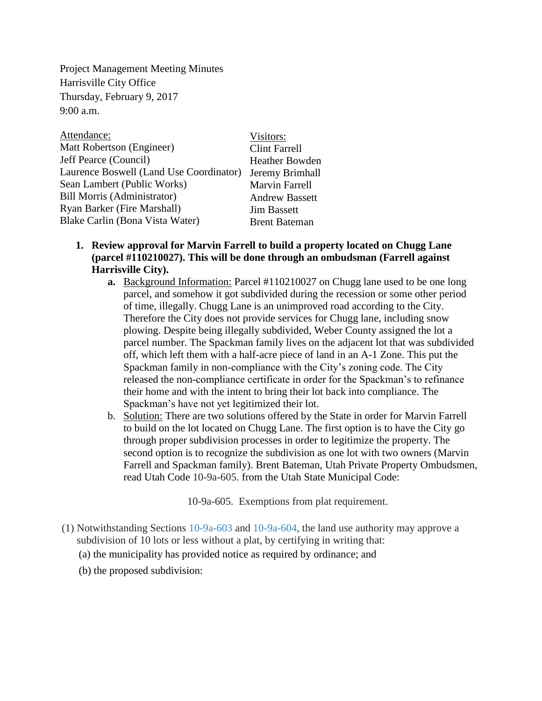Project Management Meeting Minutes Harrisville City Office Thursday, February 9, 2017  $9:00$  a.m.

| Attendance:                             | Visitors:             |
|-----------------------------------------|-----------------------|
| Matt Robertson (Engineer)               | <b>Clint Farrell</b>  |
| Jeff Pearce (Council)                   | <b>Heather Bowden</b> |
| Laurence Boswell (Land Use Coordinator) | Jeremy Brimhall       |
| Sean Lambert (Public Works)             | <b>Marvin Farrell</b> |
| <b>Bill Morris (Administrator)</b>      | <b>Andrew Bassett</b> |
| Ryan Barker (Fire Marshall)             | <b>Jim Bassett</b>    |
| Blake Carlin (Bona Vista Water)         | <b>Brent Bateman</b>  |

- **1. Review approval for Marvin Farrell to build a property located on Chugg Lane (parcel #110210027). This will be done through an ombudsman (Farrell against Harrisville City).**
	- **a.** Background Information: Parcel #110210027 on Chugg lane used to be one long parcel, and somehow it got subdivided during the recession or some other period of time, illegally. Chugg Lane is an unimproved road according to the City. Therefore the City does not provide services for Chugg lane, including snow plowing. Despite being illegally subdivided, Weber County assigned the lot a parcel number. The Spackman family lives on the adjacent lot that was subdivided off, which left them with a half-acre piece of land in an A-1 Zone. This put the Spackman family in non-compliance with the City's zoning code. The City released the non-compliance certificate in order for the Spackman's to refinance their home and with the intent to bring their lot back into compliance. The Spackman's have not yet legitimized their lot.
	- b. Solution: There are two solutions offered by the State in order for Marvin Farrell to build on the lot located on Chugg Lane. The first option is to have the City go through proper subdivision processes in order to legitimize the property. The second option is to recognize the subdivision as one lot with two owners (Marvin Farrell and Spackman family). Brent Bateman, Utah Private Property Ombudsmen, read Utah Code 10-9a-605. from the Utah State Municipal Code:

10-9a-605. Exemptions from plat requirement.

- (1) Notwithstanding Sections [10-9a-603](http://le.utah.gov/xcode/Title10/Chapter9A/10-9a-S603.html?v=C10-9a-S603_2015051220150512) and [10-9a-604,](http://le.utah.gov/xcode/Title10/Chapter9A/10-9a-S604.html?v=C10-9a-S604_1800010118000101) the land use authority may approve a subdivision of 10 lots or less without a plat, by certifying in writing that:
	- (a) the municipality has provided notice as required by ordinance; and
	- (b) the proposed subdivision: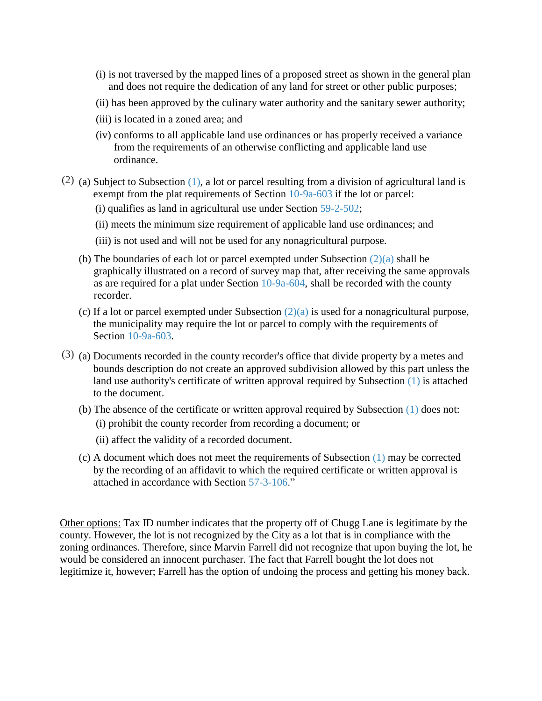- (i) is not traversed by the mapped lines of a proposed street as shown in the general plan and does not require the dedication of any land for street or other public purposes;
- (ii) has been approved by the culinary water authority and the sanitary sewer authority;
- (iii) is located in a zoned area; and
- (iv) conforms to all applicable land use ordinances or has properly received a variance from the requirements of an otherwise conflicting and applicable land use ordinance.
- (2) (a) Subject to Subsection [\(1\),](http://le.utah.gov/xcode/Title10/Chapter9A/10-9a-S605.html?v=C10-9a-S605_1800010118000101#10-9a-605(1)) a lot or parcel resulting from a division of agricultural land is exempt from the plat requirements of Section [10-9a-603](http://le.utah.gov/xcode/Title10/Chapter9A/10-9a-S603.html?v=C10-9a-S603_2015051220150512) if the lot or parcel:
	- (i) qualifies as land in agricultural use under Section [59-2-502;](http://le.utah.gov/xcode/Title59/Chapter2/59-2-S502.html?v=C59-2-S502_1800010118000101)
	- (ii) meets the minimum size requirement of applicable land use ordinances; and
	- (iii) is not used and will not be used for any nonagricultural purpose.
	- (b) The boundaries of each lot or parcel exempted under Subsection  $(2)(a)$  shall be graphically illustrated on a record of survey map that, after receiving the same approvals as are required for a plat under Section [10-9a-604,](http://le.utah.gov/xcode/Title10/Chapter9A/10-9a-S604.html?v=C10-9a-S604_1800010118000101) shall be recorded with the county recorder.
	- (c) If a lot or parcel exempted under Subsection  $(2)(a)$  is used for a nonagricultural purpose, the municipality may require the lot or parcel to comply with the requirements of Section [10-9a-603.](http://le.utah.gov/xcode/Title10/Chapter9A/10-9a-S603.html?v=C10-9a-S603_2015051220150512)
- $(3)$  (a) Documents recorded in the county recorder's office that divide property by a metes and bounds description do not create an approved subdivision allowed by this part unless the land use authority's certificate of written approval required by Subsection [\(1\)](http://le.utah.gov/xcode/Title10/Chapter9A/10-9a-S605.html?v=C10-9a-S605_1800010118000101#10-9a-605(1)) is attached to the document.
	- (b) The absence of the certificate or written approval required by Subsection [\(1\)](http://le.utah.gov/xcode/Title10/Chapter9A/10-9a-S605.html?v=C10-9a-S605_1800010118000101#10-9a-605(1)) does not: (i) prohibit the county recorder from recording a document; or
		- (ii) affect the validity of a recorded document.
	- (c) A document which does not meet the requirements of Subsection [\(1\)](http://le.utah.gov/xcode/Title10/Chapter9A/10-9a-S605.html?v=C10-9a-S605_1800010118000101#10-9a-605(1)) may be corrected by the recording of an affidavit to which the required certificate or written approval is attached in accordance with Section [57-3-106.](http://le.utah.gov/xcode/Title57/Chapter3/57-3-S106.html?v=C57-3-S106_2014040320150701)"

Other options: Tax ID number indicates that the property off of Chugg Lane is legitimate by the county. However, the lot is not recognized by the City as a lot that is in compliance with the zoning ordinances. Therefore, since Marvin Farrell did not recognize that upon buying the lot, he would be considered an innocent purchaser. The fact that Farrell bought the lot does not legitimize it, however; Farrell has the option of undoing the process and getting his money back.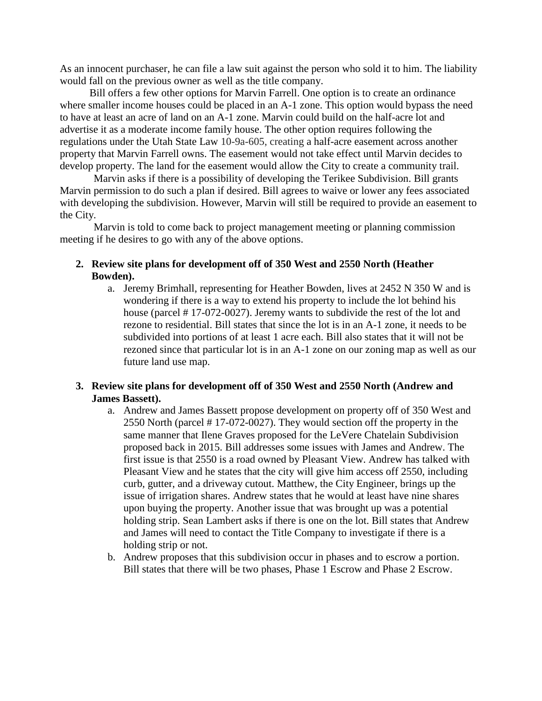As an innocent purchaser, he can file a law suit against the person who sold it to him. The liability would fall on the previous owner as well as the title company.

 Bill offers a few other options for Marvin Farrell. One option is to create an ordinance where smaller income houses could be placed in an A-1 zone. This option would bypass the need to have at least an acre of land on an A-1 zone. Marvin could build on the half-acre lot and advertise it as a moderate income family house. The other option requires following the regulations under the Utah State Law 10-9a-605, creating a half-acre easement across another property that Marvin Farrell owns. The easement would not take effect until Marvin decides to develop property. The land for the easement would allow the City to create a community trail.

 Marvin asks if there is a possibility of developing the Terikee Subdivision. Bill grants Marvin permission to do such a plan if desired. Bill agrees to waive or lower any fees associated with developing the subdivision. However, Marvin will still be required to provide an easement to the City.

 Marvin is told to come back to project management meeting or planning commission meeting if he desires to go with any of the above options.

- **2. Review site plans for development off of 350 West and 2550 North (Heather Bowden).**
	- a. Jeremy Brimhall, representing for Heather Bowden, lives at 2452 N 350 W and is wondering if there is a way to extend his property to include the lot behind his house (parcel # 17-072-0027). Jeremy wants to subdivide the rest of the lot and rezone to residential. Bill states that since the lot is in an A-1 zone, it needs to be subdivided into portions of at least 1 acre each. Bill also states that it will not be rezoned since that particular lot is in an A-1 zone on our zoning map as well as our future land use map.

## **3. Review site plans for development off of 350 West and 2550 North (Andrew and James Bassett).**

- a. Andrew and James Bassett propose development on property off of 350 West and 2550 North (parcel # 17-072-0027). They would section off the property in the same manner that Ilene Graves proposed for the LeVere Chatelain Subdivision proposed back in 2015. Bill addresses some issues with James and Andrew. The first issue is that 2550 is a road owned by Pleasant View. Andrew has talked with Pleasant View and he states that the city will give him access off 2550, including curb, gutter, and a driveway cutout. Matthew, the City Engineer, brings up the issue of irrigation shares. Andrew states that he would at least have nine shares upon buying the property. Another issue that was brought up was a potential holding strip. Sean Lambert asks if there is one on the lot. Bill states that Andrew and James will need to contact the Title Company to investigate if there is a holding strip or not.
- b. Andrew proposes that this subdivision occur in phases and to escrow a portion. Bill states that there will be two phases, Phase 1 Escrow and Phase 2 Escrow.